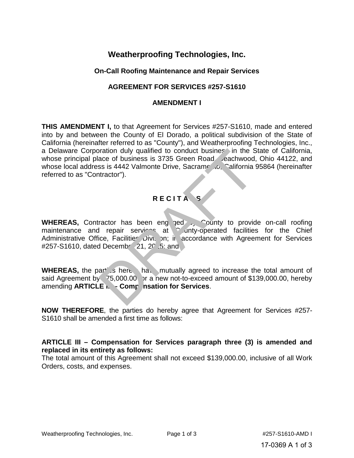# **Weatherproofing Technologies, Inc.**

### **On-Call Roofing Maintenance and Repair Services**

## **AGREEMENT FOR SERVICES #257-S1610**

#### **AMENDMENT I**

**THIS AMENDMENT I,** to that Agreement for Services #257-S1610, made and entered into by and between the County of El Dorado, a political subdivision of the State of California (hereinafter referred to as "County"), and Weatherproofing Technologies, Inc., a Delaware Corporation duly qualified to conduct busines in the State of California, whose principal place of business is 3735 Green Road, eachwood, Ohio 44122, and whose local address is 4442 Valmonte Drive, Sacramento, California 95864 (hereinafter referred to as "Contractor").

# **R E C I T A L S**

**WHEREAS,** Contractor has been engaged by County to provide on-call roofing maintenance and repair services at Conty-operated facilities for the Chief Administrative Office, Facilities Division; in accordance with Agreement for Services #257-S1610, dated Decemb  $\left( 21, 20, 5 \right)$  and original diversity of the Sace of business is 3735 Green Road Cachwood,<br>ss is 4442 Valmonte Drive, Sacrame Co, California<br>tractor").<br>Tractor has been eng. and County to provide<br>repair services at County-operated facilities

WHEREAS, the parties here have mutually agreed to increase the total amount of said Agreement by  $75,000.00$  or a new not-to-exceed amount of \$139,000.00, hereby amending **ARTICLE i.** - Comp nsation for Services.

**NOW THEREFORE**, the parties do hereby agree that Agreement for Services #257- S1610 shall be amended a first time as follows:

#### **ARTICLE III – Compensation for Services paragraph three (3) is amended and replaced in its entirety as follows:**

The total amount of this Agreement shall not exceed \$139,000.00, inclusive of all Work Orders, costs, and expenses.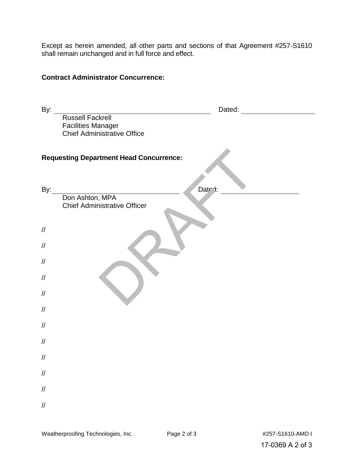Except as herein amended, all other parts and sections of that Agreement #257-S1610 shall remain unchanged and in full force and effect.

### **Contract Administrator Concurrence:**

| By:                                                                  | Dated:                                               |  |  |
|----------------------------------------------------------------------|------------------------------------------------------|--|--|
|                                                                      | <b>Russell Fackrell</b><br><b>Facilities Manager</b> |  |  |
|                                                                      | <b>Chief Administrative Office</b>                   |  |  |
| <b>Requesting Department Head Concurrence:</b>                       |                                                      |  |  |
| By:                                                                  | Dated:<br>Don Ashton, MPA                            |  |  |
|                                                                      | <b>Chief Administrative Officer</b>                  |  |  |
| $\ensuremath{\mathnormal{/\!/}}$                                     |                                                      |  |  |
| $\ensuremath{\mathnormal{/\!/}}$                                     |                                                      |  |  |
| $\ensuremath{\mathnormal{/\!/}}$                                     |                                                      |  |  |
| $\ensuremath{\mathnormal{/\!/}}$<br>$\ensuremath{\mathnormal{/\!/}}$ |                                                      |  |  |
| $\ensuremath{\mathnormal{/\!/}}$                                     |                                                      |  |  |
| $\ensuremath{\mathnormal{/\!/}}$                                     |                                                      |  |  |
| $\ensuremath{\mathnormal{/\!/}}$                                     |                                                      |  |  |
| $\ensuremath{\mathnormal{/\!/}}$                                     |                                                      |  |  |
| $\ensuremath{\mathnormal{/\!/}}$                                     |                                                      |  |  |
| $\ensuremath{\mathnormal{/\!/}}$<br>$\ensuremath{\mathnormal{/\!/}}$ |                                                      |  |  |
|                                                                      |                                                      |  |  |